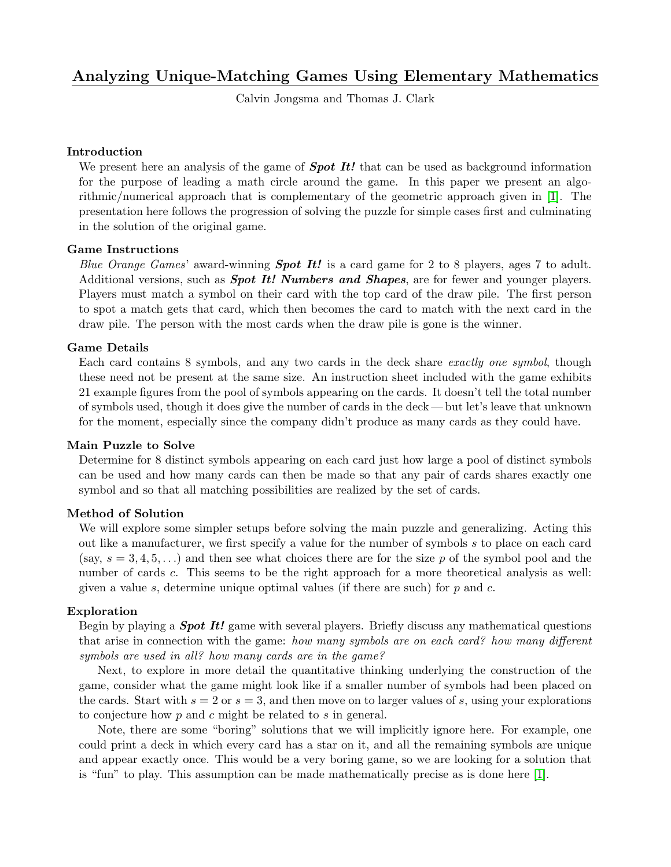# Analyzing Unique-Matching Games Using Elementary Mathematics

Calvin Jongsma and Thomas J. Clark

# Introduction

We present here an analysis of the game of **Spot It!** that can be used as background information for the purpose of leading a math circle around the game. In this paper we present an algorithmic/numerical approach that is complementary of the geometric approach given in [\[1\]](#page-7-0). The presentation here follows the progression of solving the puzzle for simple cases first and culminating in the solution of the original game.

# Game Instructions

Blue Orange Games' award-winning **Spot It!** is a card game for 2 to 8 players, ages 7 to adult. Additional versions, such as **Spot It! Numbers and Shapes**, are for fewer and younger players. Players must match a symbol on their card with the top card of the draw pile. The first person to spot a match gets that card, which then becomes the card to match with the next card in the draw pile. The person with the most cards when the draw pile is gone is the winner.

# Game Details

Each card contains 8 symbols, and any two cards in the deck share exactly one symbol, though these need not be present at the same size. An instruction sheet included with the game exhibits 21 example figures from the pool of symbols appearing on the cards. It doesn't tell the total number of symbols used, though it does give the number of cards in the deck— but let's leave that unknown for the moment, especially since the company didn't produce as many cards as they could have.

## Main Puzzle to Solve

Determine for 8 distinct symbols appearing on each card just how large a pool of distinct symbols can be used and how many cards can then be made so that any pair of cards shares exactly one symbol and so that all matching possibilities are realized by the set of cards.

## Method of Solution

We will explore some simpler setups before solving the main puzzle and generalizing. Acting this out like a manufacturer, we first specify a value for the number of symbols s to place on each card (say,  $s = 3, 4, 5, \ldots$ ) and then see what choices there are for the size p of the symbol pool and the number of cards c. This seems to be the right approach for a more theoretical analysis as well: given a value s, determine unique optimal values (if there are such) for  $p$  and  $c$ .

## Exploration

Begin by playing a **Spot It!** game with several players. Briefly discuss any mathematical questions that arise in connection with the game: how many symbols are on each card? how many different symbols are used in all? how many cards are in the game?

Next, to explore in more detail the quantitative thinking underlying the construction of the game, consider what the game might look like if a smaller number of symbols had been placed on the cards. Start with  $s = 2$  or  $s = 3$ , and then move on to larger values of s, using your explorations to conjecture how p and c might be related to s in general.

Note, there are some "boring" solutions that we will implicitly ignore here. For example, one could print a deck in which every card has a star on it, and all the remaining symbols are unique and appear exactly once. This would be a very boring game, so we are looking for a solution that is "fun" to play. This assumption can be made mathematically precise as is done here [\[1\]](#page-7-0).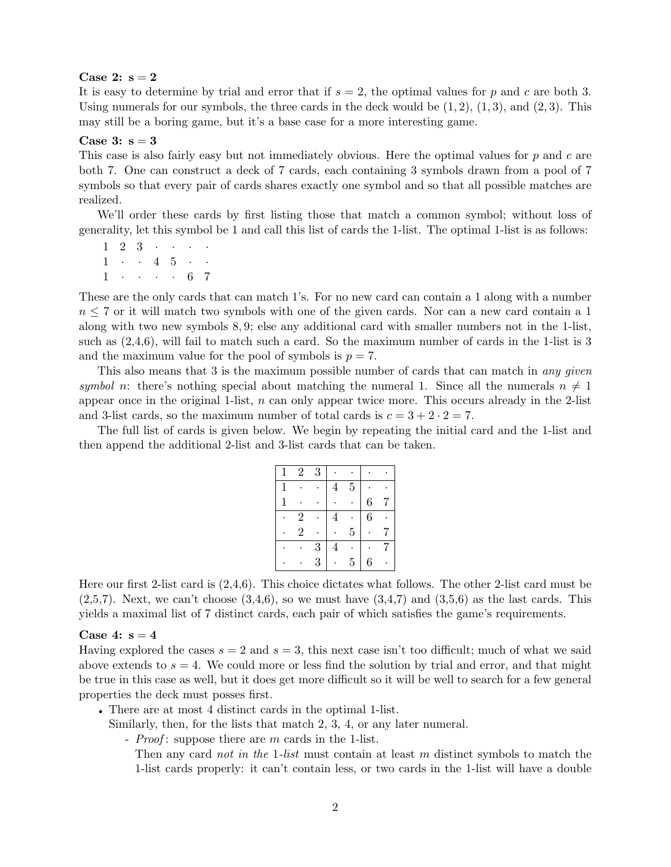### Case 2:  $s = 2$

It is easy to determine by trial and error that if  $s = 2$ , the optimal values for p and c are both 3. Using numerals for our symbols, the three cards in the deck would be  $(1, 2)$ ,  $(1, 3)$ , and  $(2, 3)$ . This may still be a boring game, but it's a base case for a more interesting game.

#### Case 3:  $s = 3$

This case is also fairly easy but not immediately obvious. Here the optimal values for  $p$  and  $c$  are both 7. One can construct a deck of 7 cards, each containing 3 symbols drawn from a pool of 7 symbols so that every pair of cards shares exactly one symbol and so that all possible matches are realized.

We'll order these cards by first listing those that match a common symbol; without loss of generality, let this symbol be 1 and call this list of cards the 1-list. The optimal 1-list is as follows:

 $1 \t2 \t3 \t...$  $1 \cdot 4 \cdot 5 \cdot \cdot$  $1 \cdot \cdot \cdot \cdot 6 \cdot 7$ 

These are the only cards that can match 1's. For no new card can contain a 1 along with a number  $n \leq 7$  or it will match two symbols with one of the given cards. Nor can a new card contain a 1 along with two new symbols 8, 9; else any additional card with smaller numbers not in the 1-list, such as  $(2,4,6)$ , will fail to match such a card. So the maximum number of cards in the 1-list is 3 and the maximum value for the pool of symbols is  $p = 7$ .

This also means that 3 is the maximum possible number of cards that can match in any given symbol n: there's nothing special about matching the numeral 1. Since all the numerals  $n \neq 1$ appear once in the original 1-list,  $n$  can only appear twice more. This occurs already in the 2-list and 3-list cards, so the maximum number of total cards is  $c = 3 + 2 \cdot 2 = 7$ .

The full list of cards is given below. We begin by repeating the initial card and the 1-list and then append the additional 2-list and 3-list cards that can be taken.

|   | $\overline{2}$ | 3 |   |                |                |  |
|---|----------------|---|---|----------------|----------------|--|
| 1 |                |   | 4 | $\overline{5}$ |                |  |
| 1 |                |   |   |                | 6              |  |
|   | $\overline{2}$ |   | 4 |                | $\overline{6}$ |  |
|   | $\overline{2}$ |   |   | $\overline{5}$ |                |  |
|   |                | 3 | 4 |                |                |  |
|   |                | 3 |   | $\overline{5}$ | 6              |  |

Here our first 2-list card is (2,4,6). This choice dictates what follows. The other 2-list card must be  $(2,5,7)$ . Next, we can't choose  $(3,4,6)$ , so we must have  $(3,4,7)$  and  $(3,5,6)$  as the last cards. This yields a maximal list of 7 distinct cards, each pair of which satisfies the game's requirements.

#### Case 4:  $s = 4$

Having explored the cases  $s = 2$  and  $s = 3$ , this next case isn't too difficult; much of what we said above extends to  $s = 4$ . We could more or less find the solution by trial and error, and that might be true in this case as well, but it does get more difficult so it will be well to search for a few general properties the deck must posses first.

• There are at most 4 distinct cards in the optimal 1-list.

Similarly, then, for the lists that match 2, 3, 4, or any later numeral.

- *Proof*: suppose there are  $m$  cards in the 1-list.

Then any card *not in the 1-list* must contain at least m distinct symbols to match the 1-list cards properly: it can't contain less, or two cards in the 1-list will have a double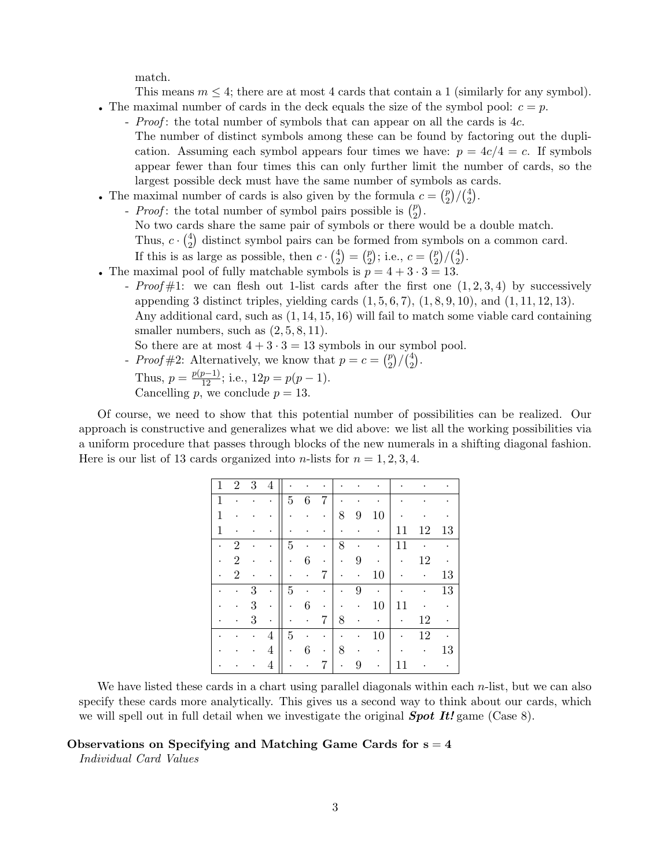match.

This means  $m \leq 4$ ; there are at most 4 cards that contain a 1 (similarly for any symbol).

- The maximal number of cards in the deck equals the size of the symbol pool:  $c = p$ .
	- *Proof*: the total number of symbols that can appear on all the cards is 4c. The number of distinct symbols among these can be found by factoring out the duplication. Assuming each symbol appears four times we have:  $p = 4c/4 = c$ . If symbols appear fewer than four times this can only further limit the number of cards, so the largest possible deck must have the same number of symbols as cards.
- The maximal number of cards is also given by the formula  $c = \binom{p}{2}$  $\binom{p}{2} / \binom{4}{2}$  $_{2}^{4}$ .
	- *Proof*: the total number of symbol pairs possible is  $\binom{p}{2}$  $\binom{p}{2}$ . No two cards share the same pair of symbols or there would be a double match. Thus,  $c \cdot \binom{4}{2}$  $^{4}_{2}$ ) distinct symbol pairs can be formed from symbols on a common card. If this is as large as possible, then  $c \cdot \binom{4}{2}$  $\binom{4}{2} = \binom{p}{2}$  $\binom{p}{2}$ ; i.e.,  $c = \binom{p}{2}$  $\binom{p}{2} / \binom{4}{2}$  $_{2}^{4}$ .
- The maximal pool of fully matchable symbols is  $p = 4 + 3 \cdot 3 = 13$ .
	- Proof  $\#1$ : we can flesh out 1-list cards after the first one  $(1, 2, 3, 4)$  by successively appending 3 distinct triples, yielding cards  $(1, 5, 6, 7), (1, 8, 9, 10),$  and  $(1, 11, 12, 13)$ . Any additional card, such as (1, 14, 15, 16) will fail to match some viable card containing smaller numbers, such as  $(2, 5, 8, 11)$ .

So there are at most  $4 + 3 \cdot 3 = 13$  symbols in our symbol pool.

- *Proof* #2: Alternatively, we know that  $p = c = \binom{p}{2}$  $\binom{p}{2}$ / $\binom{4}{2}$  $_{2}^{4}$ . Thus,  $p = \frac{p(p-1)}{12}$ ; i.e.,  $12p = p(p-1)$ . Cancelling p, we conclude  $p = 13$ .

Of course, we need to show that this potential number of possibilities can be realized. Our approach is constructive and generalizes what we did above: we list all the working possibilities via a uniform procedure that passes through blocks of the new numerals in a shifting diagonal fashion. Here is our list of 13 cards organized into *n*-lists for  $n = 1, 2, 3, 4$ .

| $\mathbf{1}$ | $\overline{2}$ | 3 | 4 |                |   | ٠ |   |           |           |    |    |    |
|--------------|----------------|---|---|----------------|---|---|---|-----------|-----------|----|----|----|
| 1            |                |   | ٠ | $\overline{5}$ | 6 | 7 |   |           |           |    |    |    |
| 1            |                |   |   |                |   |   | 8 | 9         | 10        |    |    |    |
| 1            |                |   |   |                |   |   | ٠ |           | $\bullet$ | 11 | 12 | 13 |
|              | $\overline{2}$ |   |   | $\overline{5}$ |   | ٠ | 8 |           | ٠         | 11 |    |    |
|              | $\overline{2}$ |   |   |                | 6 | ٠ | ٠ | 9         |           | ٠  | 12 |    |
|              | $\overline{2}$ |   |   |                | ٠ | 7 |   | $\bullet$ | 10        |    |    | 13 |
|              |                | 3 |   | $\overline{5}$ |   |   |   | 9         |           |    |    | 13 |
|              |                | 3 | ۰ | ٠              | 6 |   |   | ۰         | 10        | 11 |    |    |
|              |                | 3 | ٠ |                |   | 7 | 8 | ٠         |           | ٠  | 12 |    |
|              |                |   | 4 | $\overline{5}$ |   |   |   |           | 10        |    | 12 |    |
|              |                |   | 4 |                | 6 | ٠ | 8 |           |           |    |    | 13 |
|              |                |   | 4 |                |   | 7 | ۰ | 9         |           | 11 |    |    |

We have listed these cards in a chart using parallel diagonals within each n-list, but we can also specify these cards more analytically. This gives us a second way to think about our cards, which we will spell out in full detail when we investigate the original  $Spot\ It!$  game (Case 8).

## Observations on Specifying and Matching Game Cards for  $s = 4$

Individual Card Values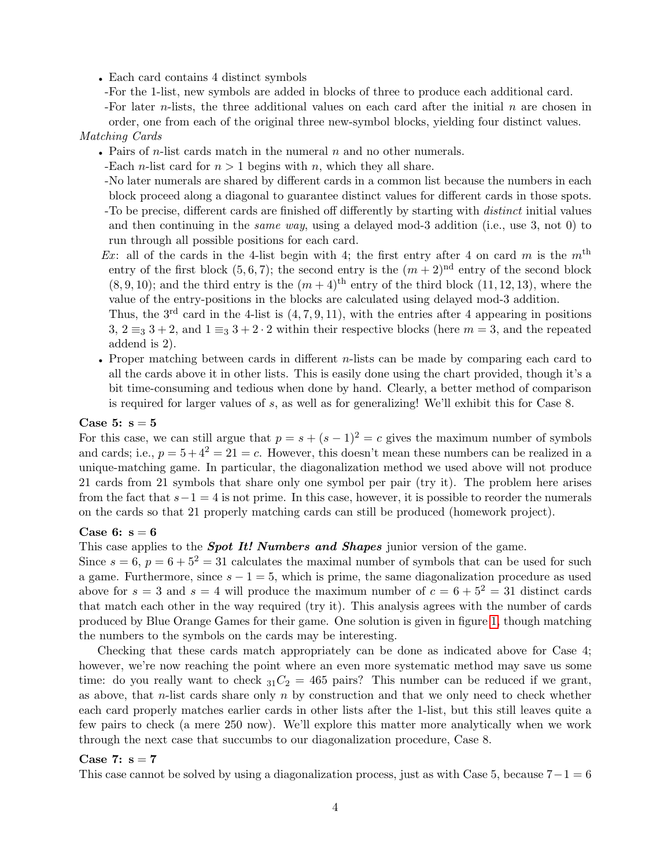- Each card contains 4 distinct symbols
- -For the 1-list, new symbols are added in blocks of three to produce each additional card.
- -For later  $n$ -lists, the three additional values on each card after the initial  $n$  are chosen in order, one from each of the original three new-symbol blocks, yielding four distinct values.

## Matching Cards

- Pairs of *n*-list cards match in the numeral  $n$  and no other numerals.
- -Each *n*-list card for  $n > 1$  begins with *n*, which they all share.
- -No later numerals are shared by different cards in a common list because the numbers in each block proceed along a diagonal to guarantee distinct values for different cards in those spots. -To be precise, different cards are finished off differently by starting with distinct initial values and then continuing in the same way, using a delayed mod-3 addition (i.e., use 3, not 0) to run through all possible positions for each card.
- Ex: all of the cards in the 4-list begin with 4; the first entry after 4 on card m is the  $m<sup>th</sup>$ entry of the first block  $(5, 6, 7)$ ; the second entry is the  $(m + 2)^{nd}$  entry of the second block  $(8, 9, 10)$ ; and the third entry is the  $(m + 4)$ <sup>th</sup> entry of the third block  $(11, 12, 13)$ , where the value of the entry-positions in the blocks are calculated using delayed mod-3 addition.

Thus, the  $3<sup>rd</sup>$  card in the 4-list is  $(4, 7, 9, 11)$ , with the entries after 4 appearing in positions 3,  $2 \equiv_3 3 + 2$ , and  $1 \equiv_3 3 + 2 \cdot 2$  within their respective blocks (here  $m = 3$ , and the repeated addend is 2).

• Proper matching between cards in different *n*-lists can be made by comparing each card to all the cards above it in other lists. This is easily done using the chart provided, though it's a bit time-consuming and tedious when done by hand. Clearly, a better method of comparison is required for larger values of s, as well as for generalizing! We'll exhibit this for Case 8.

## Case 5:  $s = 5$

For this case, we can still argue that  $p = s + (s - 1)^2 = c$  gives the maximum number of symbols and cards; i.e.,  $p = 5 + 4^2 = 21 = c$ . However, this doesn't mean these numbers can be realized in a unique-matching game. In particular, the diagonalization method we used above will not produce 21 cards from 21 symbols that share only one symbol per pair (try it). The problem here arises from the fact that  $s-1=4$  is not prime. In this case, however, it is possible to reorder the numerals on the cards so that 21 properly matching cards can still be produced (homework project).

#### Case 6:  $s = 6$

This case applies to the **Spot It! Numbers and Shapes** junior version of the game.

Since  $s = 6$ ,  $p = 6 + 5^2 = 31$  calculates the maximal number of symbols that can be used for such a game. Furthermore, since  $s - 1 = 5$ , which is prime, the same diagonalization procedure as used above for  $s = 3$  and  $s = 4$  will produce the maximum number of  $c = 6 + 5^2 = 31$  distinct cards that match each other in the way required (try it). This analysis agrees with the number of cards produced by Blue Orange Games for their game. One solution is given in figure [1,](#page-6-0) though matching the numbers to the symbols on the cards may be interesting.

Checking that these cards match appropriately can be done as indicated above for Case 4; however, we're now reaching the point where an even more systematic method may save us some time: do you really want to check  $_{31}C_2 = 465$  pairs? This number can be reduced if we grant, as above, that  $n$ -list cards share only  $n$  by construction and that we only need to check whether each card properly matches earlier cards in other lists after the 1-list, but this still leaves quite a few pairs to check (a mere 250 now). We'll explore this matter more analytically when we work through the next case that succumbs to our diagonalization procedure, Case 8.

## Case 7:  $s = 7$

This case cannot be solved by using a diagonalization process, just as with Case 5, because  $7-1=6$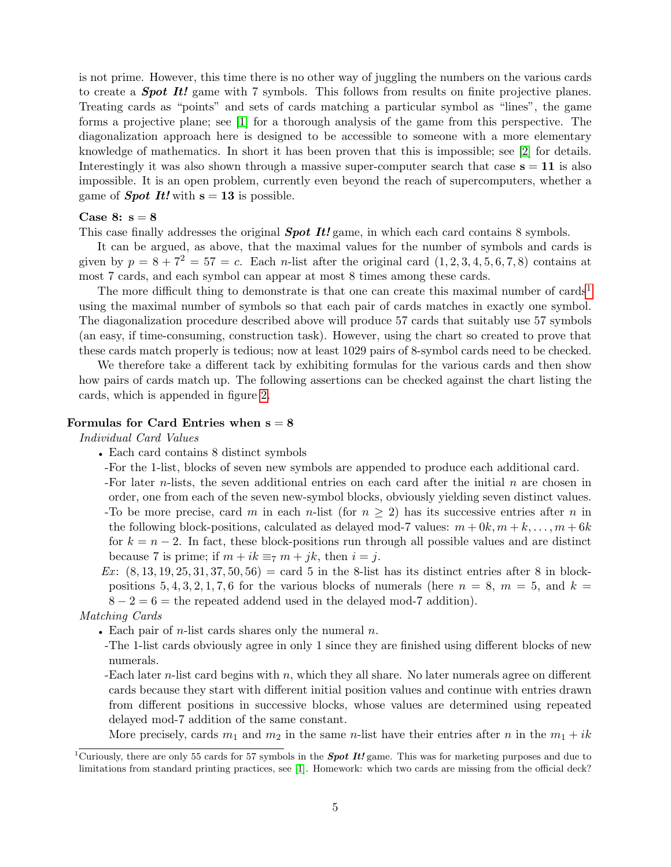is not prime. However, this time there is no other way of juggling the numbers on the various cards to create a **Spot It!** game with 7 symbols. This follows from results on finite projective planes. Treating cards as "points" and sets of cards matching a particular symbol as "lines", the game forms a projective plane; see [\[1\]](#page-7-0) for a thorough analysis of the game from this perspective. The diagonalization approach here is designed to be accessible to someone with a more elementary knowledge of mathematics. In short it has been proven that this is impossible; see [\[2\]](#page-7-1) for details. Interestingly it was also shown through a massive super-computer search that case  $s = 11$  is also impossible. It is an open problem, currently even beyond the reach of supercomputers, whether a game of **Spot It!** with  $s = 13$  is possible.

## Case 8:  $s = 8$

This case finally addresses the original **Spot It!** game, in which each card contains 8 symbols.

It can be argued, as above, that the maximal values for the number of symbols and cards is given by  $p = 8 + 7^2 = 57 = c$ . Each *n*-list after the original card  $(1, 2, 3, 4, 5, 6, 7, 8)$  contains at most 7 cards, and each symbol can appear at most 8 times among these cards.

The more difficult thing to demonstrate is that one can create this maximal number of  $\text{card}^1$  $\text{card}^1$ using the maximal number of symbols so that each pair of cards matches in exactly one symbol. The diagonalization procedure described above will produce 57 cards that suitably use 57 symbols (an easy, if time-consuming, construction task). However, using the chart so created to prove that these cards match properly is tedious; now at least 1029 pairs of 8-symbol cards need to be checked.

We therefore take a different tack by exhibiting formulas for the various cards and then show how pairs of cards match up. The following assertions can be checked against the chart listing the cards, which is appended in figure [2.](#page-7-2)

## Formulas for Card Entries when  $s = 8$

Individual Card Values

- Each card contains 8 distinct symbols
- -For the 1-list, blocks of seven new symbols are appended to produce each additional card.
- -For later *n*-lists, the seven additional entries on each card after the initial *n* are chosen in order, one from each of the seven new-symbol blocks, obviously yielding seven distinct values. -To be more precise, card m in each n-list (for  $n \geq 2$ ) has its successive entries after n in the following block-positions, calculated as delayed mod-7 values:  $m + 0k, m + k, \ldots, m + 6k$ for  $k = n - 2$ . In fact, these block-positions run through all possible values and are distinct because 7 is prime; if  $m + ik \equiv_7 m + jk$ , then  $i = j$ .
- Ex:  $(8, 13, 19, 25, 31, 37, 50, 56) = \text{card } 5$  in the 8-list has its distinct entries after 8 in blockpositions 5, 4, 3, 2, 1, 7, 6 for the various blocks of numerals (here  $n = 8$ ,  $m = 5$ , and  $k =$  $8 - 2 = 6$  = the repeated addend used in the delayed mod-7 addition).

#### Matching Cards

- Each pair of  $n$ -list cards shares only the numeral  $n$ .
- -The 1-list cards obviously agree in only 1 since they are finished using different blocks of new numerals.
- -Each later n-list card begins with n, which they all share. No later numerals agree on different cards because they start with different initial position values and continue with entries drawn from different positions in successive blocks, whose values are determined using repeated delayed mod-7 addition of the same constant.

More precisely, cards  $m_1$  and  $m_2$  in the same *n*-list have their entries after *n* in the  $m_1 + ik$ 

<span id="page-4-0"></span><sup>&</sup>lt;sup>1</sup>Curiously, there are only 55 cards for 57 symbols in the **Spot It!** game. This was for marketing purposes and due to limitations from standard printing practices, see [\[1\]](#page-7-0). Homework: which two cards are missing from the official deck?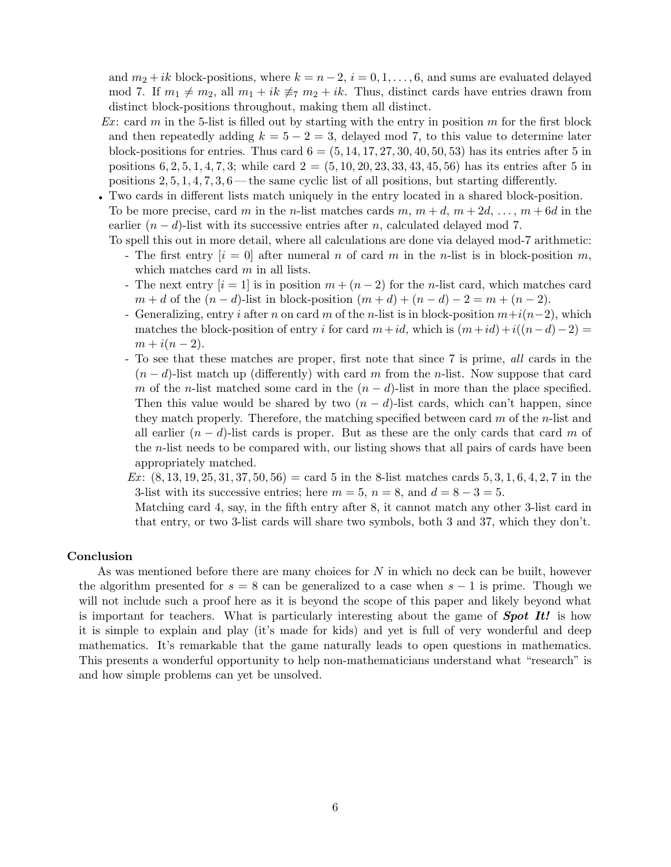and  $m_2 + ik$  block-positions, where  $k = n - 2$ ,  $i = 0, 1, ..., 6$ , and sums are evaluated delayed mod 7. If  $m_1 \neq m_2$ , all  $m_1 + ik \not\equiv_7 m_2 + ik$ . Thus, distinct cards have entries drawn from distinct block-positions throughout, making them all distinct.

- Ex: card m in the 5-list is filled out by starting with the entry in position m for the first block and then repeatedly adding  $k = 5 - 2 = 3$ , delayed mod 7, to this value to determine later block-positions for entries. Thus card  $6 = (5, 14, 17, 27, 30, 40, 50, 53)$  has its entries after 5 in positions  $6, 2, 5, 1, 4, 7, 3$ ; while card  $2 = (5, 10, 20, 23, 33, 43, 45, 56)$  has its entries after 5 in positions  $2, 5, 1, 4, 7, 3, 6$  — the same cyclic list of all positions, but starting differently.
- Two cards in different lists match uniquely in the entry located in a shared block-position. To be more precise, card m in the n-list matches cards m,  $m + d$ ,  $m + 2d$ , ...,  $m + 6d$  in the earlier  $(n - d)$ -list with its successive entries after n, calculated delayed mod 7.
	- To spell this out in more detail, where all calculations are done via delayed mod-7 arithmetic:
		- The first entry  $[i = 0]$  after numeral n of card m in the n-list is in block-position m, which matches card  $m$  in all lists.
		- The next entry  $[i = 1]$  is in position  $m + (n-2)$  for the n-list card, which matches card  $m + d$  of the  $(n - d)$ -list in block-position  $(m + d) + (n - d) - 2 = m + (n - 2)$ .
		- Generalizing, entry i after n on card m of the n-list is in block-position  $m+i(n-2)$ , which matches the block-position of entry i for card  $m+id$ , which is  $(m+id)+i((n-d)-2) =$  $m + i(n - 2)$ .
		- To see that these matches are proper, first note that since 7 is prime, all cards in the  $(n-d)$ -list match up (differently) with card m from the n-list. Now suppose that card m of the n-list matched some card in the  $(n - d)$ -list in more than the place specified. Then this value would be shared by two  $(n - d)$ -list cards, which can't happen, since they match properly. Therefore, the matching specified between card  $m$  of the *n*-list and all earlier  $(n - d)$ -list cards is proper. But as these are the only cards that card m of the n-list needs to be compared with, our listing shows that all pairs of cards have been appropriately matched.
		- $Ex: (8, 13, 19, 25, 31, 37, 50, 56) = \text{card } 5$  in the 8-list matches cards 5, 3, 1, 6, 4, 2, 7 in the 3-list with its successive entries; here  $m = 5$ ,  $n = 8$ , and  $d = 8 - 3 = 5$ .

Matching card 4, say, in the fifth entry after 8, it cannot match any other 3-list card in that entry, or two 3-list cards will share two symbols, both 3 and 37, which they don't.

#### Conclusion

As was mentioned before there are many choices for N in which no deck can be built, however the algorithm presented for  $s = 8$  can be generalized to a case when  $s - 1$  is prime. Though we will not include such a proof here as it is beyond the scope of this paper and likely beyond what is important for teachers. What is particularly interesting about the game of **Spot It!** is how it is simple to explain and play (it's made for kids) and yet is full of very wonderful and deep mathematics. It's remarkable that the game naturally leads to open questions in mathematics. This presents a wonderful opportunity to help non-mathematicians understand what "research" is and how simple problems can yet be unsolved.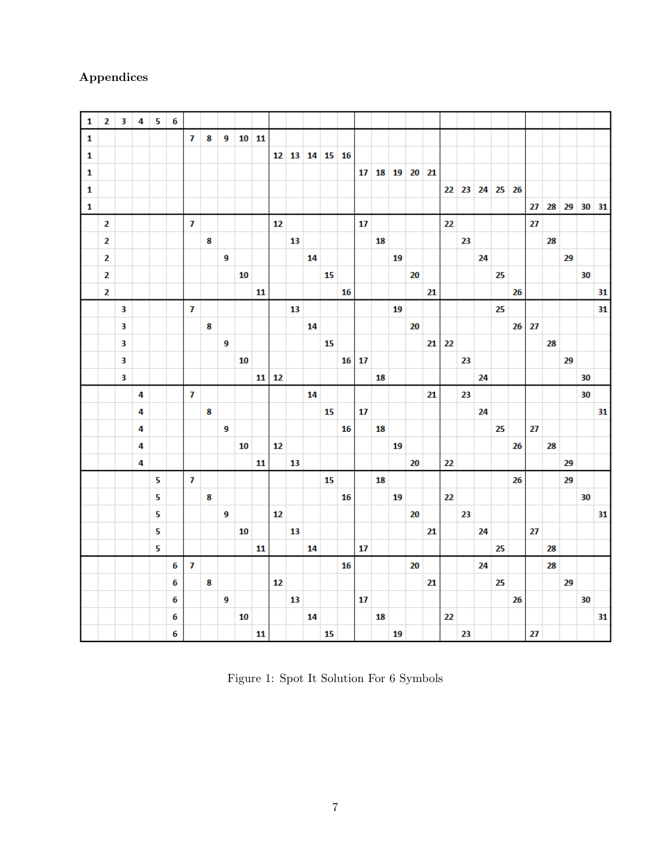# Appendices

| 1 | $\overline{2}$          | $\overline{\mathbf{3}}$ | 4 | 5 | $\boldsymbol{6}$ |              |   |   |    |         |    |                |    |    |    |                 |    |             |    |    |    |    |             |    |    |    |    |             |    |    |
|---|-------------------------|-------------------------|---|---|------------------|--------------|---|---|----|---------|----|----------------|----|----|----|-----------------|----|-------------|----|----|----|----|-------------|----|----|----|----|-------------|----|----|
| 1 |                         |                         |   |   |                  | 7            | 8 | 9 |    | $10$ 11 |    |                |    |    |    |                 |    |             |    |    |    |    |             |    |    |    |    |             |    |    |
| 1 |                         |                         |   |   |                  |              |   |   |    |         |    | 12 13 14 15 16 |    |    |    |                 |    |             |    |    |    |    |             |    |    |    |    |             |    |    |
| 1 |                         |                         |   |   |                  |              |   |   |    |         |    |                |    |    |    | 17 <sub>1</sub> |    | 18 19 20 21 |    |    |    |    |             |    |    |    |    |             |    |    |
| 1 |                         |                         |   |   |                  |              |   |   |    |         |    |                |    |    |    |                 |    |             |    |    |    |    | 22 23 24 25 |    | 26 |    |    |             |    |    |
| 1 |                         |                         |   |   |                  |              |   |   |    |         |    |                |    |    |    |                 |    |             |    |    |    |    |             |    |    | 27 |    | 28 29 30 31 |    |    |
|   | $\overline{\mathbf{2}}$ |                         |   |   |                  | $\mathbf{z}$ |   |   |    |         | 12 |                |    |    |    | 17              |    |             |    |    | 22 |    |             |    |    | 27 |    |             |    |    |
|   | $\mathbf{2}$            |                         |   |   |                  |              | 8 |   |    |         |    | 13             |    |    |    |                 | 18 |             |    |    |    | 23 |             |    |    |    | 28 |             |    |    |
|   | $\overline{\mathbf{2}}$ |                         |   |   |                  |              |   | 9 |    |         |    |                | 14 |    |    |                 |    | 19          |    |    |    |    | 24          |    |    |    |    | 29          |    |    |
|   | $\mathbf{2}$            |                         |   |   |                  |              |   |   | 10 |         |    |                |    | 15 |    |                 |    |             | 20 |    |    |    |             | 25 |    |    |    |             | 30 |    |
|   | $\overline{2}$          |                         |   |   |                  |              |   |   |    | 11      |    |                |    |    | 16 |                 |    |             |    | 21 |    |    |             |    | 26 |    |    |             |    | 31 |
|   |                         | $\overline{\mathbf{3}}$ |   |   |                  | $\mathbf{z}$ |   |   |    |         |    | 13             |    |    |    |                 |    | 19          |    |    |    |    |             | 25 |    |    |    |             |    | 31 |
|   |                         | $\overline{\mathbf{3}}$ |   |   |                  |              | 8 |   |    |         |    |                | 14 |    |    |                 |    |             | 20 |    |    |    |             |    | 26 | 27 |    |             |    |    |
|   |                         | $\overline{\mathbf{3}}$ |   |   |                  |              |   | 9 |    |         |    |                |    | 15 |    |                 |    |             |    | 21 | 22 |    |             |    |    |    | 28 |             |    |    |
|   |                         | $\overline{\mathbf{3}}$ |   |   |                  |              |   |   | 10 |         |    |                |    |    | 16 | 17              |    |             |    |    |    | 23 |             |    |    |    |    | 29          |    |    |
|   |                         | $\overline{\mathbf{3}}$ |   |   |                  |              |   |   |    | 11      | 12 |                |    |    |    |                 | 18 |             |    |    |    |    | 24          |    |    |    |    |             | 30 |    |
|   |                         |                         | 4 |   |                  | $\mathbf{7}$ |   |   |    |         |    |                | 14 |    |    |                 |    |             |    | 21 |    | 23 |             |    |    |    |    |             | 30 |    |
|   |                         |                         | 4 |   |                  |              | 8 |   |    |         |    |                |    | 15 |    | 17              |    |             |    |    |    |    | 24          |    |    |    |    |             |    | 31 |
|   |                         |                         | 4 |   |                  |              |   | 9 |    |         |    |                |    |    | 16 |                 | 18 |             |    |    |    |    |             | 25 |    | 27 |    |             |    |    |
|   |                         |                         | 4 |   |                  |              |   |   | 10 |         | 12 |                |    |    |    |                 |    | 19          |    |    |    |    |             |    | 26 |    | 28 |             |    |    |
|   |                         |                         | 4 |   |                  |              |   |   |    | 11      |    | 13             |    |    |    |                 |    |             | 20 |    | 22 |    |             |    |    |    |    | 29          |    |    |
|   |                         |                         |   | 5 |                  | $\mathbf{7}$ |   |   |    |         |    |                |    | 15 |    |                 | 18 |             |    |    |    |    |             |    | 26 |    |    | 29          |    |    |
|   |                         |                         |   | 5 |                  |              | 8 |   |    |         |    |                |    |    | 16 |                 |    | 19          |    |    | 22 |    |             |    |    |    |    |             | 30 |    |
|   |                         |                         |   | 5 |                  |              |   | 9 |    |         | 12 |                |    |    |    |                 |    |             | 20 |    |    | 23 |             |    |    |    |    |             |    | 31 |
|   |                         |                         |   | 5 |                  |              |   |   | 10 |         |    | 13             |    |    |    |                 |    |             |    | 21 |    |    | 24          |    |    | 27 |    |             |    |    |
|   |                         |                         |   | 5 |                  |              |   |   |    | 11      |    |                | 14 |    |    | 17              |    |             |    |    |    |    |             | 25 |    |    | 28 |             |    |    |
|   |                         |                         |   |   | 6                | 7            |   |   |    |         |    |                |    |    | 16 |                 |    |             | 20 |    |    |    | 24          |    |    |    | 28 |             |    |    |
|   |                         |                         |   |   | 6                |              | 8 |   |    |         | 12 |                |    |    |    |                 |    |             |    | 21 |    |    |             | 25 |    |    |    | 29          |    |    |
|   |                         |                         |   |   | 6                |              |   | 9 |    |         |    | 13             |    |    |    | 17              |    |             |    |    |    |    |             |    | 26 |    |    |             | 30 |    |
|   |                         |                         |   |   | 6                |              |   |   | 10 |         |    |                | 14 |    |    |                 | 18 |             |    |    | 22 |    |             |    |    |    |    |             |    | 31 |
|   |                         |                         |   |   | 6                |              |   |   |    | 11      |    |                |    | 15 |    |                 |    | 19          |    |    |    | 23 |             |    |    | 27 |    |             |    |    |

<span id="page-6-0"></span>Figure 1: Spot It Solution For 6 Symbols